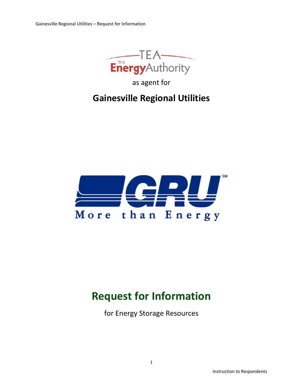

as agent for

# **Gainesville Regional Utilities**



# **Request for Information**

for Energy Storage Resources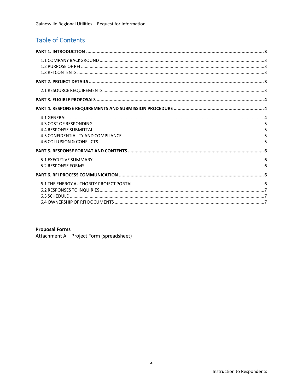# **Table of Contents**

#### **Proposal Forms**

Attachment A - Project Form (spreadsheet)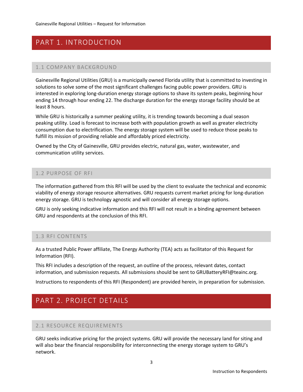# <span id="page-2-1"></span><span id="page-2-0"></span>PART 1. INTRODUCTION

#### 1.1 COMPANY BACKGROUND

Gainesville Regional Utilities (GRU) is a municipally owned Florida utility that is committed to investing in solutions to solve some of the most significant challenges facing public power providers. GRU is interested in exploring long-duration energy storage options to shave its system peaks, beginning hour ending 14 through hour ending 22. The discharge duration for the energy storage facility should be at least 8 hours.

While GRU is historically a summer peaking utility, it is trending towards becoming a dual season peaking utility. Load is forecast to increase both with population growth as well as greater electricity consumption due to electrification. The energy storage system will be used to reduce those peaks to fulfill its mission of providing reliable and affordably priced electricity.

<span id="page-2-2"></span>Owned by the City of Gainesville, GRU provides electric, natural gas, water, wastewater, and communication utility services.

#### 1.2 PURPOSE OF RFI

The information gathered from this RFI will be used by the client to evaluate the technical and economic viability of energy storage resource alternatives. GRU requests current market pricing for long-duration energy storage. GRU is technology agnostic and will consider all energy storage options.

<span id="page-2-3"></span>GRU is only seeking indicative information and this RFI will not result in a binding agreement between GRU and respondents at the conclusion of this RFI.

#### 1.3 RFI CONTENTS

As a trusted Public Power affiliate, The Energy Authority (TEA) acts as facilitator of this Request for Information (RFI).

This RFI includes a description of the request, an outline of the process, relevant dates, contact information, and submission requests. All submissions should be sent to GRUBatteryRFI@teainc.org.

<span id="page-2-4"></span>Instructions to respondents of this RFI (Respondent) are provided herein, in preparation for submission.

### <span id="page-2-5"></span>PART 2. PROJECT DETAILS

#### 2.1 RESOURCE REQUIREMENTS

GRU seeks indicative pricing for the project systems. GRU will provide the necessary land for siting and will also bear the financial responsibility for interconnecting the energy storage system to GRU's network.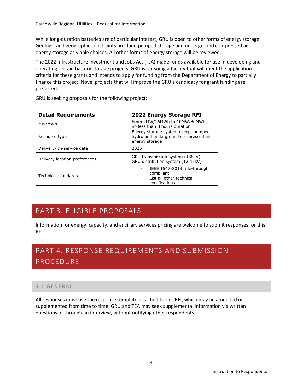Gainesville Regional Utilities – Request for Information

While long-duration batteries are of particular interest, GRU is open to other forms of energy storage. Geologic and geographic constraints preclude pumped storage and underground compressed air energy storage as viable choices. All other forms of energy storage will be reviewed.

The 2022 Infrastructure Investment and Jobs Act (IIJA) made funds available for use in developing and operating certain battery storage projects. GRU is pursuing a facility that will meet the application criteria for these grants and intends to apply for funding from the Department of Energy to partially finance this project. Novel projects that will improve the GRU's candidacy for grant funding are preferred.

GRU is seeking proposals for the following project:

| <b>Detail Requirements</b>    | 2022 Energy Storage RFI                                                                                  |  |
|-------------------------------|----------------------------------------------------------------------------------------------------------|--|
| MW/MWh                        | From 2MW/16MWh to 10MW/80MWh,<br>no less than 8 hours duration                                           |  |
| Resource type                 | Energy storage system except pumped<br>hydro and underground compressed air<br>energy storage            |  |
| Delivery/ In-service date     | 2025                                                                                                     |  |
| Delivery location preferences | GRU transmission system (138kV)<br>GRU distribution system (12.47kV)                                     |  |
| Technical standards           | IEEE 1547-2018 ride-through<br>compliant<br>List all other technical<br>$\overline{a}$<br>certifications |  |

# <span id="page-3-0"></span>PART 3. ELIGIBLE PROPOSALS

Information for energy, capacity, and ancillary services pricing are welcome to submit responses for this RFI.

# <span id="page-3-1"></span>PART 4. RESPONSE REQUIREMENTS AND SUBMISSION PROCEDURE

#### <span id="page-3-2"></span>4.1 GENERAL

All responses must use the response template attached to this RFI, which may be amended or supplemented from time to time. GRU and TEA may seek supplemental information via written questions or through an interview, without notifying other respondents.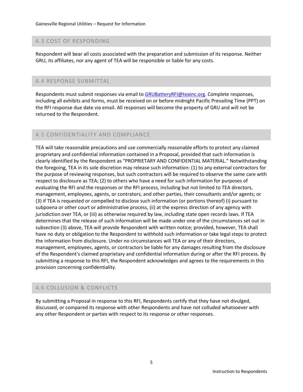#### <span id="page-4-0"></span>4.3 COST OF RESPONDING

<span id="page-4-1"></span>Respondent will bear all costs associated with the preparation and submission of its response. Neither GRU, its affiliates, nor any agent of TEA will be responsible or liable for any costs.

#### 4.4 RESPONSE SUBMITTAL

Respondents must submit responses via email to [GRUBatteryRFI@teainc.org.](mailto:BatteryRFI@teainc.org) Complete responses, including all exhibits and forms, must be received on or before midnight Pacific Prevailing Time (PPT) on the RFI response due date via email. All responses will become the property of GRU and will not be returned to the Respondent.

#### <span id="page-4-2"></span>4.5 CONFIDENTIALITY AND COMPLIANCE

TEA will take reasonable precautions and use commercially reasonable efforts to protect any claimed proprietary and confidential information contained in a Proposal, provided that such information is clearly identified by the Respondent as "PROPRIETARY AND CONFIDENTIAL MATERIAL." Notwithstanding the foregoing, TEA in its sole discretion may release such information: (1) to any external contractors for the purpose of reviewing responses, but such contractors will be required to observe the same care with respect to disclosure as TEA; (2) to others who have a need for such information for purposes of evaluating the RFI and the responses or the RFI process, including but not limited to TEA directors, management, employees, agents, or contrators, and other parties, their consultants and/or agents; or (3) if TEA is requested or compelled to disclose such information (or portions thereof) (i) pursuant to subpoena or other court or administrative process, (ii) at the express direction of any agency with jurisdiction over TEA, or (iii) as otherwise required by law, including state open records laws. If TEA determines that the release of such information will be made under one of the circumstances set out in subsection (3) above, TEA will provide Respondent with written notice; provided, however, TEA shall have no duty or obligation to the Respondent to withhold such information or take legal steps to protect the information from disclosure. Under no circumstances will TEA or any of their directors, management, employees, agents, or contractors be liable for any damages resulting from the disclosure of the Respondent's claimed proprietary and confidential information during or after the RFI process. By submitting a response to this RFI, the Respondent acknowledges and agrees to the requirements in this provision concerning confidentiality.

#### <span id="page-4-3"></span>4.6 COLLUSION & CONFLICTS

By submitting a Proposal in response to this RFI, Respondents certify that they have not divulged, discussed, or compared its response with other Respondents and have not colluded whatsoever with any other Respondent or parties with respect to its response or other responses.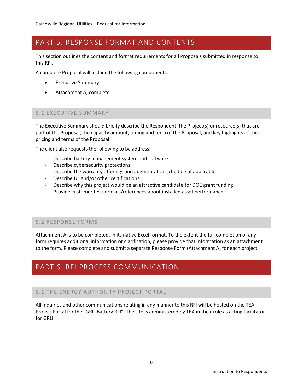# <span id="page-5-0"></span>PART 5. RESPONSE FORMAT AND CONTENTS

This section outlines the content and format requirements for all Proposals submitted in response to this RFI.

A complete Proposal will include the following components:

- **Executive Summary**
- <span id="page-5-1"></span>• Attachment A, complete

#### 5.1 EXECUTIVE SUMMARY

The Executive Summary should briefly describe the Respondent, the Project(s) or resource(s) that are part of the Proposal, the capacity amount, timing and term of the Proposal, and key highlights of the pricing and terms of the Proposal.

The client also requests the following to be address:

- Describe battery management system and software
- Describe cybersecurity protections
- Describe the warranty offerings and augmentation schedule, if applicable
- Describe UL and/or other certifications
- Describe why this project would be an attractive candidate for DOE grant funding
- Provide customer testimonials/references about installed asset performance

#### <span id="page-5-2"></span>5.2 RESPONSE FORMS

Attachment A is to be completed, in its native Excel format. To the extent the full completion of any form requires additional information or clarification, please provide that information as an attachment to the form. Please complete and submit a separate Response Form (Attachment A) for each project.

### <span id="page-5-4"></span><span id="page-5-3"></span>PART 6. RFI PROCESS COMMUNICATION

#### 6.1 THE ENERGY AUTHORITY PROJECT PORTAL

All inquiries and other communications relating in any manner to this RFI will be hosted on the TEA Project Portal for the "GRU Battery RFI". The site is administered by TEA in their role as acting facilitator for GRU.